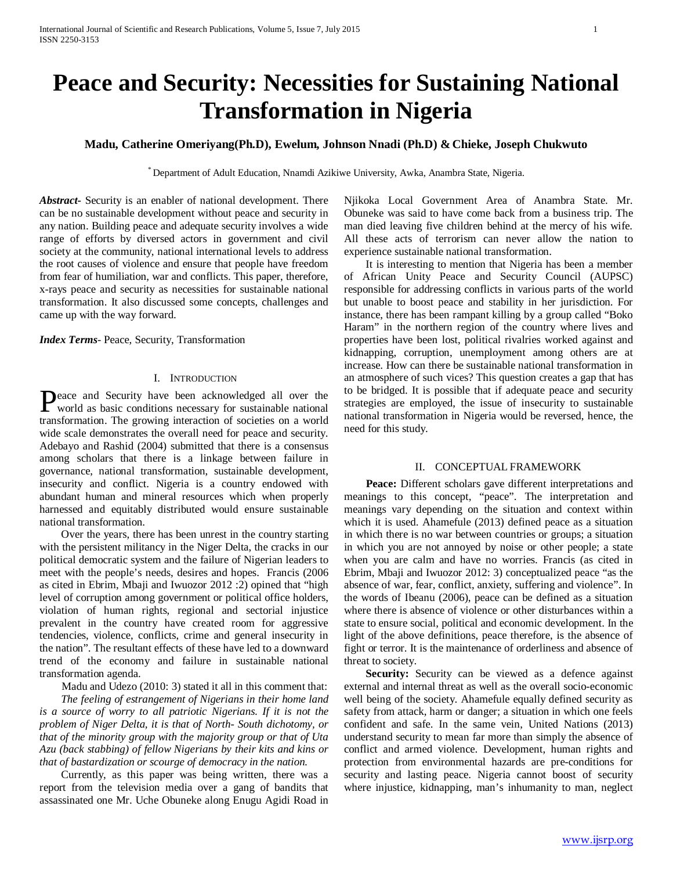# **Peace and Security: Necessities for Sustaining National Transformation in Nigeria**

## **Madu, Catherine Omeriyang(Ph.D), Ewelum, Johnson Nnadi (Ph.D) & Chieke, Joseph Chukwuto**

\* Department of Adult Education, Nnamdi Azikiwe University, Awka, Anambra State, Nigeria.

*Abstract***-** Security is an enabler of national development. There can be no sustainable development without peace and security in any nation. Building peace and adequate security involves a wide range of efforts by diversed actors in government and civil society at the community, national international levels to address the root causes of violence and ensure that people have freedom from fear of humiliation, war and conflicts. This paper, therefore, x-rays peace and security as necessities for sustainable national transformation. It also discussed some concepts, challenges and came up with the way forward.

*Index Terms*- Peace, Security, Transformation

## I. INTRODUCTION

eace and Security have been acknowledged all over the **Peace and Security have been acknowledged all over the world as basic conditions necessary for sustainable national** transformation. The growing interaction of societies on a world wide scale demonstrates the overall need for peace and security. Adebayo and Rashid (2004) submitted that there is a consensus among scholars that there is a linkage between failure in governance, national transformation, sustainable development, insecurity and conflict. Nigeria is a country endowed with abundant human and mineral resources which when properly harnessed and equitably distributed would ensure sustainable national transformation.

 Over the years, there has been unrest in the country starting with the persistent militancy in the Niger Delta, the cracks in our political democratic system and the failure of Nigerian leaders to meet with the people's needs, desires and hopes. Francis (2006 as cited in Ebrim, Mbaji and Iwuozor 2012 :2) opined that "high level of corruption among government or political office holders, violation of human rights, regional and sectorial injustice prevalent in the country have created room for aggressive tendencies, violence, conflicts, crime and general insecurity in the nation". The resultant effects of these have led to a downward trend of the economy and failure in sustainable national transformation agenda.

 Madu and Udezo (2010: 3) stated it all in this comment that: *The feeling of estrangement of Nigerians in their home land is a source of worry to all patriotic Nigerians. If it is not the problem of Niger Delta, it is that of North- South dichotomy, or that of the minority group with the majority group or that of Uta Azu (back stabbing) of fellow Nigerians by their kits and kins or that of bastardization or scourge of democracy in the nation.*

 Currently, as this paper was being written, there was a report from the television media over a gang of bandits that assassinated one Mr. Uche Obuneke along Enugu Agidi Road in Njikoka Local Government Area of Anambra State. Mr. Obuneke was said to have come back from a business trip. The man died leaving five children behind at the mercy of his wife. All these acts of terrorism can never allow the nation to experience sustainable national transformation.

 It is interesting to mention that Nigeria has been a member of African Unity Peace and Security Council (AUPSC) responsible for addressing conflicts in various parts of the world but unable to boost peace and stability in her jurisdiction. For instance, there has been rampant killing by a group called "Boko Haram" in the northern region of the country where lives and properties have been lost, political rivalries worked against and kidnapping, corruption, unemployment among others are at increase. How can there be sustainable national transformation in an atmosphere of such vices? This question creates a gap that has to be bridged. It is possible that if adequate peace and security strategies are employed, the issue of insecurity to sustainable national transformation in Nigeria would be reversed, hence, the need for this study.

## II. CONCEPTUAL FRAMEWORK

 **Peace:** Different scholars gave different interpretations and meanings to this concept, "peace". The interpretation and meanings vary depending on the situation and context within which it is used. Ahamefule (2013) defined peace as a situation in which there is no war between countries or groups; a situation in which you are not annoyed by noise or other people; a state when you are calm and have no worries. Francis (as cited in Ebrim, Mbaji and Iwuozor 2012: 3) conceptualized peace "as the absence of war, fear, conflict, anxiety, suffering and violence". In the words of Ibeanu (2006), peace can be defined as a situation where there is absence of violence or other disturbances within a state to ensure social, political and economic development. In the light of the above definitions, peace therefore, is the absence of fight or terror. It is the maintenance of orderliness and absence of threat to society.

 **Security:** Security can be viewed as a defence against external and internal threat as well as the overall socio-economic well being of the society. Ahamefule equally defined security as safety from attack, harm or danger; a situation in which one feels confident and safe. In the same vein, United Nations (2013) understand security to mean far more than simply the absence of conflict and armed violence. Development, human rights and protection from environmental hazards are pre-conditions for security and lasting peace. Nigeria cannot boost of security where injustice, kidnapping, man's inhumanity to man, neglect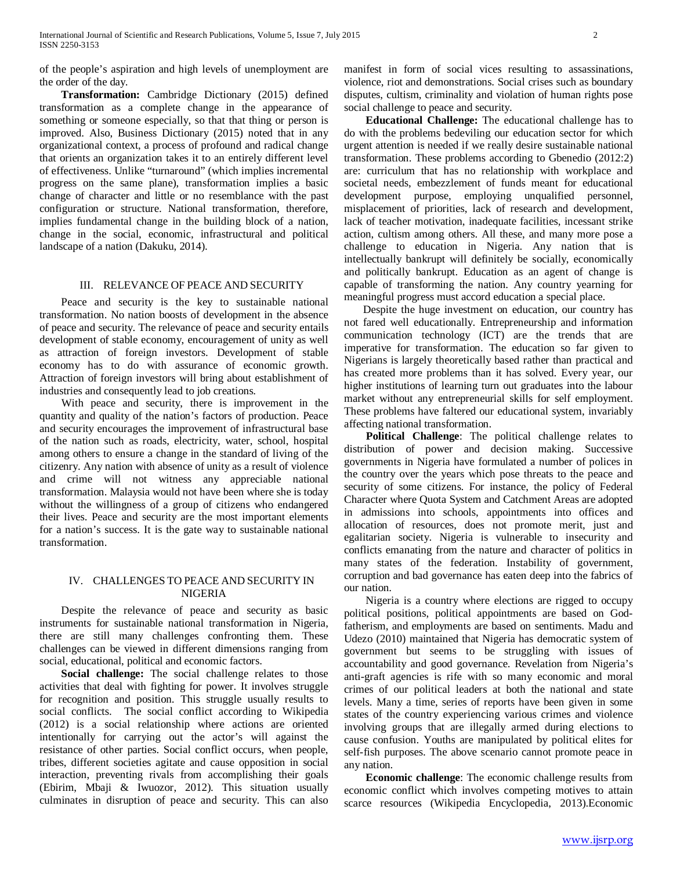of the people's aspiration and high levels of unemployment are the order of the day.

 **Transformation:** Cambridge Dictionary (2015) defined transformation as a complete change in the appearance of something or someone especially, so that that thing or person is improved. Also, Business Dictionary (2015) noted that in any organizational context, a process of profound and radical change that orients an organization takes it to an entirely different level of effectiveness. Unlike "turnaround" (which implies incremental progress on the same plane), transformation implies a basic change of character and little or no resemblance with the past configuration or structure. National transformation, therefore, implies fundamental change in the building block of a nation, change in the social, economic, infrastructural and political landscape of a nation (Dakuku, 2014).

## III. RELEVANCE OF PEACE AND SECURITY

 Peace and security is the key to sustainable national transformation. No nation boosts of development in the absence of peace and security. The relevance of peace and security entails development of stable economy, encouragement of unity as well as attraction of foreign investors. Development of stable economy has to do with assurance of economic growth. Attraction of foreign investors will bring about establishment of industries and consequently lead to job creations.

 With peace and security, there is improvement in the quantity and quality of the nation's factors of production. Peace and security encourages the improvement of infrastructural base of the nation such as roads, electricity, water, school, hospital among others to ensure a change in the standard of living of the citizenry. Any nation with absence of unity as a result of violence and crime will not witness any appreciable national transformation. Malaysia would not have been where she is today without the willingness of a group of citizens who endangered their lives. Peace and security are the most important elements for a nation's success. It is the gate way to sustainable national transformation.

## IV. CHALLENGES TO PEACE AND SECURITY IN NIGERIA

 Despite the relevance of peace and security as basic instruments for sustainable national transformation in Nigeria, there are still many challenges confronting them. These challenges can be viewed in different dimensions ranging from social, educational, political and economic factors.

 **Social challenge:** The social challenge relates to those activities that deal with fighting for power. It involves struggle for recognition and position. This struggle usually results to social conflicts. The social conflict according to Wikipedia (2012) is a social relationship where actions are oriented intentionally for carrying out the actor's will against the resistance of other parties. Social conflict occurs, when people, tribes, different societies agitate and cause opposition in social interaction, preventing rivals from accomplishing their goals (Ebirim, Mbaji & Iwuozor, 2012). This situation usually culminates in disruption of peace and security. This can also manifest in form of social vices resulting to assassinations, violence, riot and demonstrations. Social crises such as boundary disputes, cultism, criminality and violation of human rights pose social challenge to peace and security.

 **Educational Challenge:** The educational challenge has to do with the problems bedeviling our education sector for which urgent attention is needed if we really desire sustainable national transformation. These problems according to Gbenedio (2012:2) are: curriculum that has no relationship with workplace and societal needs, embezzlement of funds meant for educational development purpose, employing unqualified personnel, misplacement of priorities, lack of research and development, lack of teacher motivation, inadequate facilities, incessant strike action, cultism among others. All these, and many more pose a challenge to education in Nigeria. Any nation that is intellectually bankrupt will definitely be socially, economically and politically bankrupt. Education as an agent of change is capable of transforming the nation. Any country yearning for meaningful progress must accord education a special place.

 Despite the huge investment on education, our country has not fared well educationally. Entrepreneurship and information communication technology (ICT) are the trends that are imperative for transformation. The education so far given to Nigerians is largely theoretically based rather than practical and has created more problems than it has solved. Every year, our higher institutions of learning turn out graduates into the labour market without any entrepreneurial skills for self employment. These problems have faltered our educational system, invariably affecting national transformation.

 **Political Challenge**: The political challenge relates to distribution of power and decision making. Successive governments in Nigeria have formulated a number of polices in the country over the years which pose threats to the peace and security of some citizens. For instance, the policy of Federal Character where Quota System and Catchment Areas are adopted in admissions into schools, appointments into offices and allocation of resources, does not promote merit, just and egalitarian society. Nigeria is vulnerable to insecurity and conflicts emanating from the nature and character of politics in many states of the federation. Instability of government, corruption and bad governance has eaten deep into the fabrics of our nation.

 Nigeria is a country where elections are rigged to occupy political positions, political appointments are based on Godfatherism, and employments are based on sentiments. Madu and Udezo (2010) maintained that Nigeria has democratic system of government but seems to be struggling with issues of accountability and good governance. Revelation from Nigeria's anti-graft agencies is rife with so many economic and moral crimes of our political leaders at both the national and state levels. Many a time, series of reports have been given in some states of the country experiencing various crimes and violence involving groups that are illegally armed during elections to cause confusion. Youths are manipulated by political elites for self-fish purposes. The above scenario cannot promote peace in any nation.

 **Economic challenge**: The economic challenge results from economic conflict which involves competing motives to attain scarce resources (Wikipedia Encyclopedia, 2013).Economic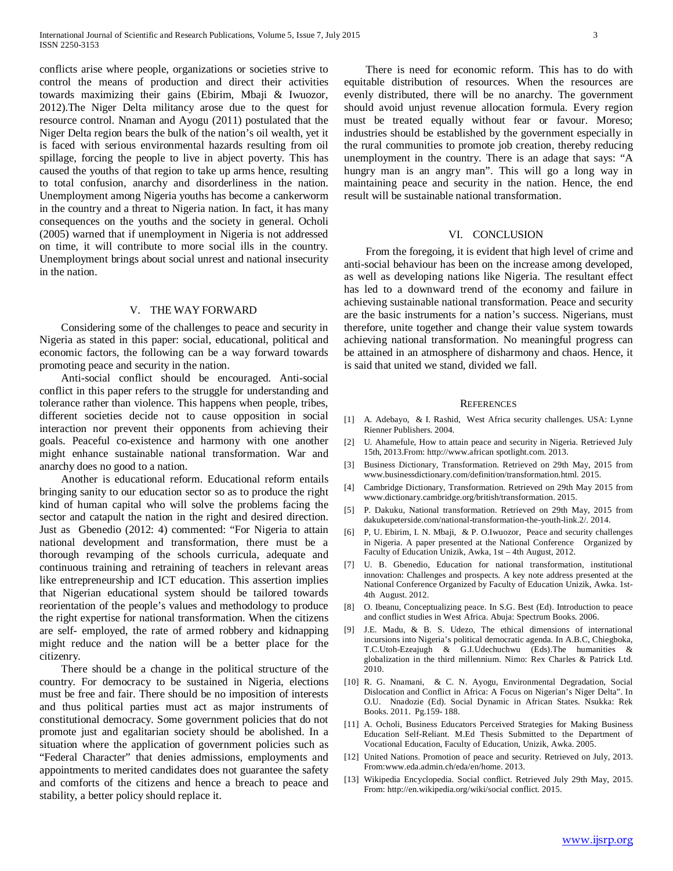conflicts arise where people, organizations or societies strive to control the means of production and direct their activities towards maximizing their gains (Ebirim, Mbaji & Iwuozor, 2012).The Niger Delta militancy arose due to the quest for resource control. Nnaman and Ayogu (2011) postulated that the Niger Delta region bears the bulk of the nation's oil wealth, yet it is faced with serious environmental hazards resulting from oil spillage, forcing the people to live in abject poverty. This has caused the youths of that region to take up arms hence, resulting to total confusion, anarchy and disorderliness in the nation. Unemployment among Nigeria youths has become a cankerworm in the country and a threat to Nigeria nation. In fact, it has many consequences on the youths and the society in general. Ocholi (2005) warned that if unemployment in Nigeria is not addressed on time, it will contribute to more social ills in the country. Unemployment brings about social unrest and national insecurity in the nation.

#### V. THE WAY FORWARD

 Considering some of the challenges to peace and security in Nigeria as stated in this paper: social, educational, political and economic factors, the following can be a way forward towards promoting peace and security in the nation.

 Anti-social conflict should be encouraged. Anti-social conflict in this paper refers to the struggle for understanding and tolerance rather than violence. This happens when people, tribes, different societies decide not to cause opposition in social interaction nor prevent their opponents from achieving their goals. Peaceful co-existence and harmony with one another might enhance sustainable national transformation. War and anarchy does no good to a nation.

 Another is educational reform. Educational reform entails bringing sanity to our education sector so as to produce the right kind of human capital who will solve the problems facing the sector and catapult the nation in the right and desired direction. Just as Gbenedio (2012: 4) commented: "For Nigeria to attain national development and transformation, there must be a thorough revamping of the schools curricula, adequate and continuous training and retraining of teachers in relevant areas like entrepreneurship and ICT education. This assertion implies that Nigerian educational system should be tailored towards reorientation of the people's values and methodology to produce the right expertise for national transformation. When the citizens are self- employed, the rate of armed robbery and kidnapping might reduce and the nation will be a better place for the citizenry.

 There should be a change in the political structure of the country. For democracy to be sustained in Nigeria, elections must be free and fair. There should be no imposition of interests and thus political parties must act as major instruments of constitutional democracy. Some government policies that do not promote just and egalitarian society should be abolished. In a situation where the application of government policies such as "Federal Character" that denies admissions, employments and appointments to merited candidates does not guarantee the safety and comforts of the citizens and hence a breach to peace and stability, a better policy should replace it.

 There is need for economic reform. This has to do with equitable distribution of resources. When the resources are evenly distributed, there will be no anarchy. The government should avoid unjust revenue allocation formula. Every region must be treated equally without fear or favour. Moreso; industries should be established by the government especially in the rural communities to promote job creation, thereby reducing unemployment in the country. There is an adage that says: "A hungry man is an angry man". This will go a long way in maintaining peace and security in the nation. Hence, the end result will be sustainable national transformation.

#### VI. CONCLUSION

 From the foregoing, it is evident that high level of crime and anti-social behaviour has been on the increase among developed, as well as developing nations like Nigeria. The resultant effect has led to a downward trend of the economy and failure in achieving sustainable national transformation. Peace and security are the basic instruments for a nation's success. Nigerians, must therefore, unite together and change their value system towards achieving national transformation. No meaningful progress can be attained in an atmosphere of disharmony and chaos. Hence, it is said that united we stand, divided we fall.

### **REFERENCES**

- [1] A. Adebayo, & I. Rashid, West Africa security challenges. USA: Lynne Rienner Publishers. 2004.
- [2] U. Ahamefule, How to attain peace and security in Nigeria. Retrieved July 15th, 2013.From: http://www.african spotlight.com. 2013.
- [3] Business Dictionary, Transformation. Retrieved on 29th May, 2015 from www.businessdictionary.com/definition/transformation.html. 2015.
- [4] Cambridge Dictionary, Transformation. Retrieved on 29th May 2015 from www.dictionary.cambridge.org/british/transformation. 2015.
- [5] P. Dakuku, National transformation. Retrieved on 29th May, 2015 from dakukupeterside.com/national-transformation-the-youth-link.2/. 2014.
- [6] P, U. Ebirim, I. N. Mbaji, & P. O.Iwuozor, Peace and security challenges in Nigeria. A paper presented at the National Conference Organized by Faculty of Education Unizik, Awka, 1st – 4th August, 2012.
- [7] U. B. Gbenedio, Education for national transformation, institutional innovation: Challenges and prospects. A key note address presented at the National Conference Organized by Faculty of Education Unizik, Awka. 1st-4th August. 2012.
- [8] O. Ibeanu, Conceptualizing peace. In S.G. Best (Ed). Introduction to peace and conflict studies in West Africa. Abuja: Spectrum Books. 2006.
- [9] J.E. Madu, & B. S. Udezo, The ethical dimensions of international incursions into Nigeria's political democratic agenda. In A.B.C, Chiegboka, T.C.Utoh-Ezeajugh & G.I.Udechuchwu (Eds).The humanities & globalization in the third millennium. Nimo: Rex Charles & Patrick Ltd. 2010.
- [10] R. G. Nnamani, & C. N. Ayogu, Environmental Degradation, Social Dislocation and Conflict in Africa: A Focus on Nigerian's Niger Delta". In O.U. Nnadozie (Ed). Social Dynamic in African States. Nsukka: Rek Books. 2011. Pg.159- 188.
- [11] A. Ocholi, Business Educators Perceived Strategies for Making Business Education Self-Reliant. M.Ed Thesis Submitted to the Department of Vocational Education, Faculty of Education, Unizik, Awka. 2005.
- [12] United Nations. Promotion of peace and security. Retrieved on July, 2013. From:www.eda.admin.ch/eda/en/home. 2013.
- [13] Wikipedia Encyclopedia. Social conflict. Retrieved July 29th May, 2015. From: http://en.wikipedia.org/wiki/social conflict. 2015.